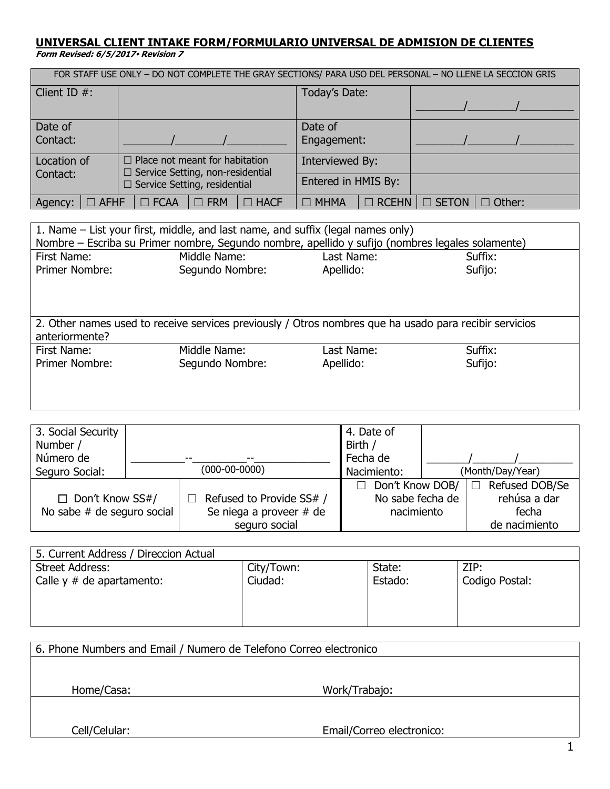## **UNIVERSAL CLIENT INTAKE FORM/FORMULARIO UNIVERSAL DE ADMISION DE CLIENTES**

**Form Revised: 6/5/2017 Revision 7**

| FOR STAFF USE ONLY - DO NOT COMPLETE THE GRAY SECTIONS/ PARA USO DEL PERSONAL - NO LLENE LA SECCION GRIS |                                          |                             |                                  |  |
|----------------------------------------------------------------------------------------------------------|------------------------------------------|-----------------------------|----------------------------------|--|
| Client ID $#$ :                                                                                          |                                          | Today's Date:               |                                  |  |
|                                                                                                          |                                          |                             |                                  |  |
| Date of                                                                                                  |                                          | Date of                     |                                  |  |
| Contact:                                                                                                 |                                          | Engagement:                 |                                  |  |
| Location of                                                                                              | $\Box$ Place not meant for habitation    | Interviewed By:             |                                  |  |
| Contact:                                                                                                 | $\Box$ Service Setting, non-residential  | Entered in HMIS By:         |                                  |  |
|                                                                                                          | $\Box$ Service Setting, residential      |                             |                                  |  |
| $\Box$ AFHF<br>Agency:                                                                                   | $\Box$ FRM<br>$\Box$ FCAA<br>$\Box$ HACF | $\Box$ MHMA<br>$\Box$ RCEHN | $\square$ SETON<br>$\Box$ Other: |  |

| 1. Name – List your first, middle, and last name, and suffix (legal names only)<br>Nombre – Escriba su Primer nombre, Segundo nombre, apellido y sufijo (nombres legales solamente) |                                                                                                        |            |         |  |  |  |  |
|-------------------------------------------------------------------------------------------------------------------------------------------------------------------------------------|--------------------------------------------------------------------------------------------------------|------------|---------|--|--|--|--|
| First Name:                                                                                                                                                                         | Middle Name:                                                                                           | Last Name: | Suffix: |  |  |  |  |
| Primer Nombre:                                                                                                                                                                      | Segundo Nombre:                                                                                        | Apellido:  | Sufijo: |  |  |  |  |
| anteriormente?                                                                                                                                                                      | 2. Other names used to receive services previously / Otros nombres que ha usado para recibir servicios |            |         |  |  |  |  |
| First Name:                                                                                                                                                                         | Middle Name:                                                                                           | Last Name: | Suffix: |  |  |  |  |
| <b>Primer Nombre:</b>                                                                                                                                                               | Segundo Nombre:                                                                                        | Apellido:  | Sufijo: |  |  |  |  |
|                                                                                                                                                                                     |                                                                                                        |            |         |  |  |  |  |

| 3. Social Security           |                 |                          | 4. Date of           |  |                  |
|------------------------------|-----------------|--------------------------|----------------------|--|------------------|
| Number /                     |                 |                          | Birth /              |  |                  |
| Número de                    |                 |                          | Fecha de             |  |                  |
| Seguro Social:               | $(000-00-0000)$ |                          | Nacimiento:          |  | (Month/Day/Year) |
|                              |                 |                          | Don't Know DOB/<br>П |  | Refused DOB/Se   |
| $\Box$ Don't Know SS#/       |                 | Refused to Provide SS# / | No sabe fecha de     |  | rehúsa a dar     |
| No sabe $#$ de seguro social |                 | Se niega a proveer # de  | nacimiento           |  | fecha            |
|                              |                 | seguro social            |                      |  | de nacimiento    |

| 5. Current Address / Direccion Actual |            |         |                |
|---------------------------------------|------------|---------|----------------|
| <b>Street Address:</b>                | City/Town: | State:  | ZIP:           |
| Calle $y \#$ de apartamento:          | Ciudad:    | Estado: | Codigo Postal: |
|                                       |            |         |                |
|                                       |            |         |                |
|                                       |            |         |                |

| 6. Phone Numbers and Email / Numero de Telefono Correo electronico |               |  |  |  |
|--------------------------------------------------------------------|---------------|--|--|--|
|                                                                    |               |  |  |  |
| Home/Casa:                                                         | Work/Trabajo: |  |  |  |
|                                                                    |               |  |  |  |
| Email/Correo electronico:<br>Cell/Celular:                         |               |  |  |  |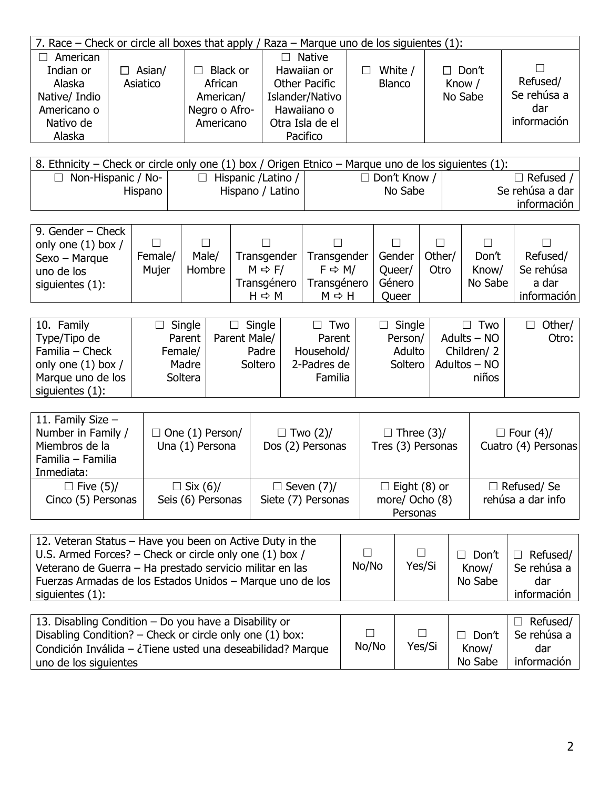| 7. Race – Check or circle all boxes that apply / Raza – Marque uno de los siguientes (1): |              |               |                      |               |              |             |
|-------------------------------------------------------------------------------------------|--------------|---------------|----------------------|---------------|--------------|-------------|
| American                                                                                  |              |               | <b>Native</b>        |               |              |             |
| Indian or                                                                                 | Asian/<br>П. | Black or      | Hawaiian or          | White /       | $\Box$ Don't | $\Box$      |
| Alaska                                                                                    | Asiatico     | African       | <b>Other Pacific</b> | <b>Blanco</b> | Know /       | Refused/    |
| Native/ Indio                                                                             |              | American/     | Islander/Nativo      |               | No Sabe      | Se rehúsa a |
| Americano o                                                                               |              | Negro o Afro- | Hawaiiano o          |               |              | dar         |
| Nativo de                                                                                 |              | Americano     | Otra Isla de el      |               |              | información |
| Alaska                                                                                    |              |               | Pacifico             |               |              |             |
|                                                                                           |              |               |                      |               |              |             |

| 8. Ethnicity – Check or circle only one (1) box / Origen Etnico – Marque uno de los siguientes (1): |                            |                     |                 |  |  |
|-----------------------------------------------------------------------------------------------------|----------------------------|---------------------|-----------------|--|--|
| $\Box$ Non-Hispanic / No-                                                                           | $\Box$ Hispanic / Latino / | $\Box$ Don't Know / | $\Box$ Refused  |  |  |
| Hispano                                                                                             | Hispano / Latino           | No Sabe             | Se rehúsa a dar |  |  |
|                                                                                                     |                            |                     | información     |  |  |

| 9. Gender – Check<br>only one $(1)$ box / |                  |                 |                                   |                                      |                  |                |                |                       |
|-------------------------------------------|------------------|-----------------|-----------------------------------|--------------------------------------|------------------|----------------|----------------|-----------------------|
| $S$ exo – Marque<br>uno de los            | Female/<br>Mujer | Male/<br>Hombre | Transgender<br>$M \Rightarrow F/$ | Transgender<br>$F \Rightarrow M/$    | Gender<br>Queer/ | Other/<br>Otro | Don't<br>Know/ | Refused/<br>Se rehúsa |
| siguientes $(1)$ :                        |                  |                 | Transgénero<br>$H \Rightarrow M$  | Transgénero<br>$M \Leftrightarrow H$ | Género<br>Queer  |                | No Sabe        | a dar<br>información  |

| 10. Family           | $\Box$ Single | Single       | Two         | $\Box$ Single | Two<br>$\perp$ | Other/ |
|----------------------|---------------|--------------|-------------|---------------|----------------|--------|
| Type/Tipo de         | Parent        | Parent Male/ | Parent      | Person/       | Adults - NO    | Otro:  |
| Familia – Check      | Female/       | Padre        | Household/  | Adulto        | Children/2     |        |
| only one $(1)$ box / | Madre         | Soltero      | 2-Padres de | Soltero       | Adultos – NO   |        |
| Marque uno de los    | Soltera       |              | Familia     |               | niños          |        |
| siguientes $(1)$ :   |               |              |             |               |                |        |

| 11. Family Size $-$<br>Number in Family /<br>Miembros de la<br>Familia - Familia<br>Inmediata: | $\Box$ One (1) Person/<br>Una (1) Persona | $\Box$ Two (2)/<br>Dos (2) Personas     | $\Box$ Three (3)/<br>Tres (3) Personas            | $\Box$ Four (4)/<br>Cuatro (4) Personas |
|------------------------------------------------------------------------------------------------|-------------------------------------------|-----------------------------------------|---------------------------------------------------|-----------------------------------------|
| $\Box$ Five (5)/<br>Cinco (5) Personas                                                         | $\Box$ Six (6)/<br>Seis (6) Personas      | $\Box$ Seven (7)/<br>Siete (7) Personas | $\Box$ Eight (8) or<br>more/ Ocho (8)<br>Personas | $\Box$ Refused/Se<br>rehúsa a dar info  |

| 12. Veteran Status - Have you been on Active Duty in the<br>U.S. Armed Forces? - Check or circle only one (1) box /<br>Veterano de Guerra - Ha prestado servicio militar en las<br>Fuerzas Armadas de los Estados Unidos - Marque uno de los<br>siguientes $(1)$ : | No/No           | Yes/Si | $\Box$ Don't<br>Know/<br>No Sabe | Refused/<br>$\Box$<br>Se rehúsa a<br>dar<br>información |
|--------------------------------------------------------------------------------------------------------------------------------------------------------------------------------------------------------------------------------------------------------------------|-----------------|--------|----------------------------------|---------------------------------------------------------|
| 13. Disabling Condition - Do you have a Disability or<br>Disabling Condition? – Check or circle only one (1) box:<br>Condición Inválida - ¿Tiene usted una deseabilidad? Marque<br>uno de los siguientes                                                           | $\Box$<br>No/No | Yes/Si | $\Box$ Don't<br>Know/<br>No Sabe | Refused/<br>$\Box$<br>Se rehúsa a<br>dar<br>información |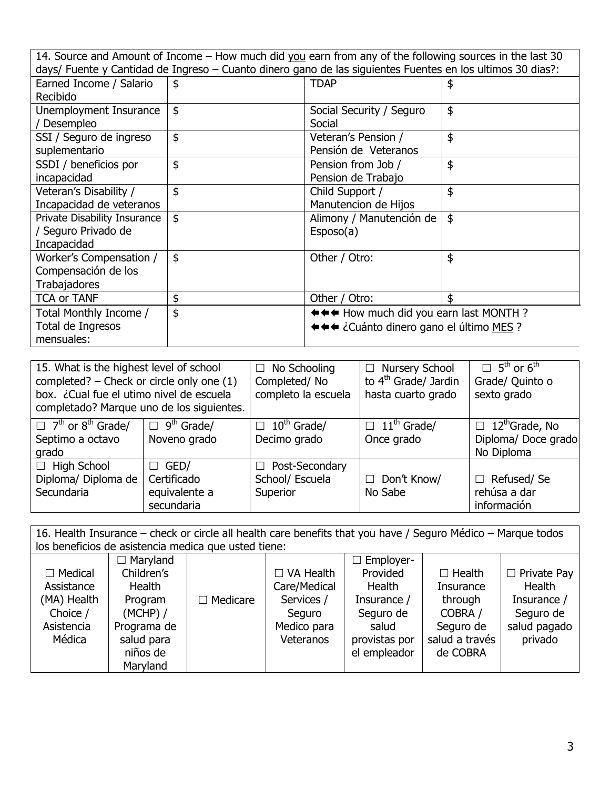| 14. Source and Amount of Income – How much did you earn from any of the following sources in the last 30<br>days/ Fuente y Cantidad de Ingreso - Cuanto dinero gano de las siguientes Fuentes en los ultimos 30 dias?: |               |                                                                                  |    |  |
|------------------------------------------------------------------------------------------------------------------------------------------------------------------------------------------------------------------------|---------------|----------------------------------------------------------------------------------|----|--|
| Earned Income / Salario<br>Recibido                                                                                                                                                                                    | \$            | <b>TDAP</b>                                                                      | \$ |  |
| Unemployment Insurance<br>Desempleo                                                                                                                                                                                    | $\frac{1}{2}$ | Social Security / Seguro<br>Social                                               | \$ |  |
| SSI / Seguro de ingreso<br>suplementario                                                                                                                                                                               | \$            | Veteran's Pension /<br>Pensión de Veteranos                                      | \$ |  |
| SSDI / beneficios por<br>incapacidad                                                                                                                                                                                   | \$            | Pension from Job /<br>Pension de Trabajo                                         | \$ |  |
| Veteran's Disability /<br>Incapacidad de veteranos                                                                                                                                                                     | \$            | Child Support /<br>Manutencion de Hijos                                          | \$ |  |
| Private Disability Insurance<br>/ Seguro Privado de<br>Incapacidad                                                                                                                                                     | $\frac{1}{2}$ | Alimony / Manutención de<br>Esposo(a)                                            | \$ |  |
| Worker's Compensation /<br>Compensación de los<br>Trabajadores                                                                                                                                                         | \$            | Other / Otro:                                                                    | \$ |  |
| <b>TCA or TANF</b>                                                                                                                                                                                                     | \$            | Other / Otro:                                                                    | ፍ  |  |
| Total Monthly Income /<br>Total de Ingresos<br>mensuales:                                                                                                                                                              | \$            | ←←← How much did you earn last MONTH?<br>←←← ¿Cuánto dinero gano el último MES ? |    |  |

| 15. What is the highest level of school<br>completed? $-$ Check or circle only one $(1)$<br>box. ¿Cual fue el utimo nivel de escuela<br>completado? Marque uno de los siguientes. |                                                           | $\Box$ No Schooling<br>Completed/No<br>completo la escuela | □ Nursery School<br>to 4 <sup>th</sup> Grade/ Jardin<br>hasta cuarto grado | $\Box$ 5 <sup>th</sup> or 6 <sup>th</sup><br>Grade/ Quinto o<br>sexto grado |
|-----------------------------------------------------------------------------------------------------------------------------------------------------------------------------------|-----------------------------------------------------------|------------------------------------------------------------|----------------------------------------------------------------------------|-----------------------------------------------------------------------------|
| $\Box$ 7 <sup>th</sup> or 8 <sup>th</sup> Grade/<br>Septimo a octavo<br>grado                                                                                                     | $\Box$ 9 <sup>th</sup> Grade/<br>Noveno grado             | $\Box$ 10 <sup>th</sup> Grade/<br>Decimo grado             | $\Box$ 11 <sup>th</sup> Grade/<br>Once grado                               | $\Box$ 12 <sup>th</sup> Grade, No<br>Diploma/Doce grado<br>No Diploma       |
| $\Box$ High School<br>Diploma/ Diploma de<br>Secundaria                                                                                                                           | $\Box$ GED/<br>Certificado<br>equivalente a<br>secundaria | $\Box$ Post-Secondary<br>School/ Escuela<br>Superior       | $\Box$ Don't Know/<br>No Sabe                                              | $\Box$ Refused/Se<br>rehúsa a dar<br>información                            |

| 16. Health Insurance - check or circle all health care benefits that you have / Seguro Médico - Marque todos |                                                      |                 |                  |                  |                  |                    |
|--------------------------------------------------------------------------------------------------------------|------------------------------------------------------|-----------------|------------------|------------------|------------------|--------------------|
|                                                                                                              | los beneficios de asistencia medica que usted tiene: |                 |                  |                  |                  |                    |
|                                                                                                              | $\Box$ Maryland                                      |                 |                  | $\Box$ Employer- |                  |                    |
| $\Box$ Medical                                                                                               | Children's                                           |                 | $\Box$ VA Health | Provided         | $\Box$ Health    | $\Box$ Private Pay |
| Assistance                                                                                                   | Health                                               |                 | Care/Medical     | Health           | <b>Insurance</b> | Health             |
| (MA) Health                                                                                                  | Program                                              | $\Box$ Medicare | Services /       | Insurance /      | through          | Insurance /        |
| Choice /                                                                                                     | $(MCHP)$ /                                           |                 | Seguro           | Seguro de        | COBRA /          | Seguro de          |
| Asistencia                                                                                                   | Programa de                                          |                 | Medico para      | salud            | Seguro de        | salud pagado       |
| Médica                                                                                                       | salud para                                           |                 | Veteranos        | provistas por    | salud a través   | privado            |
|                                                                                                              | niños de                                             |                 |                  | el empleador     | de COBRA         |                    |
|                                                                                                              | Maryland                                             |                 |                  |                  |                  |                    |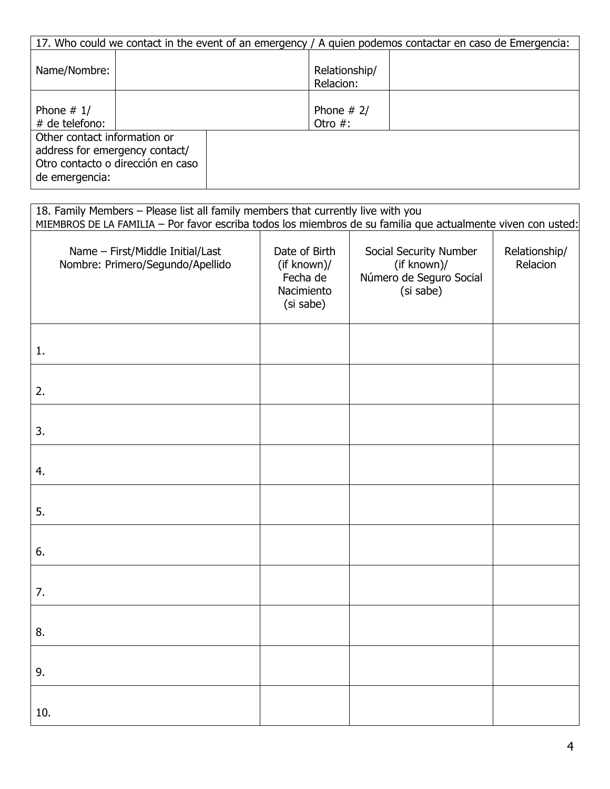|                                                                                  |                                   |                            | 17. Who could we contact in the event of an emergency / A guien podemos contactar en caso de Emergencia: |
|----------------------------------------------------------------------------------|-----------------------------------|----------------------------|----------------------------------------------------------------------------------------------------------|
| Name/Nombre:                                                                     |                                   | Relationship/<br>Relacion: |                                                                                                          |
| Phone $# 1/$<br># de telefono:                                                   |                                   | Phone $# 2/$<br>Otro $#$ : |                                                                                                          |
| Other contact information or<br>address for emergency contact/<br>de emergencia: | Otro contacto o dirección en caso |                            |                                                                                                          |

| 18. Family Members - Please list all family members that currently live with you                             |                                                                     |                                                                               |                           |
|--------------------------------------------------------------------------------------------------------------|---------------------------------------------------------------------|-------------------------------------------------------------------------------|---------------------------|
| MIEMBROS DE LA FAMILIA - Por favor escriba todos los miembros de su familia que actualmente viven con usted: |                                                                     |                                                                               |                           |
| Name - First/Middle Initial/Last<br>Nombre: Primero/Segundo/Apellido                                         | Date of Birth<br>(if known)/<br>Fecha de<br>Nacimiento<br>(si sabe) | Social Security Number<br>(if known)/<br>Número de Seguro Social<br>(si sabe) | Relationship/<br>Relacion |
| 1.                                                                                                           |                                                                     |                                                                               |                           |
| 2.                                                                                                           |                                                                     |                                                                               |                           |
| 3.                                                                                                           |                                                                     |                                                                               |                           |
| 4.                                                                                                           |                                                                     |                                                                               |                           |
| 5.                                                                                                           |                                                                     |                                                                               |                           |
| 6.                                                                                                           |                                                                     |                                                                               |                           |
| 7.                                                                                                           |                                                                     |                                                                               |                           |
| 8.                                                                                                           |                                                                     |                                                                               |                           |
| 9.                                                                                                           |                                                                     |                                                                               |                           |
| 10.                                                                                                          |                                                                     |                                                                               |                           |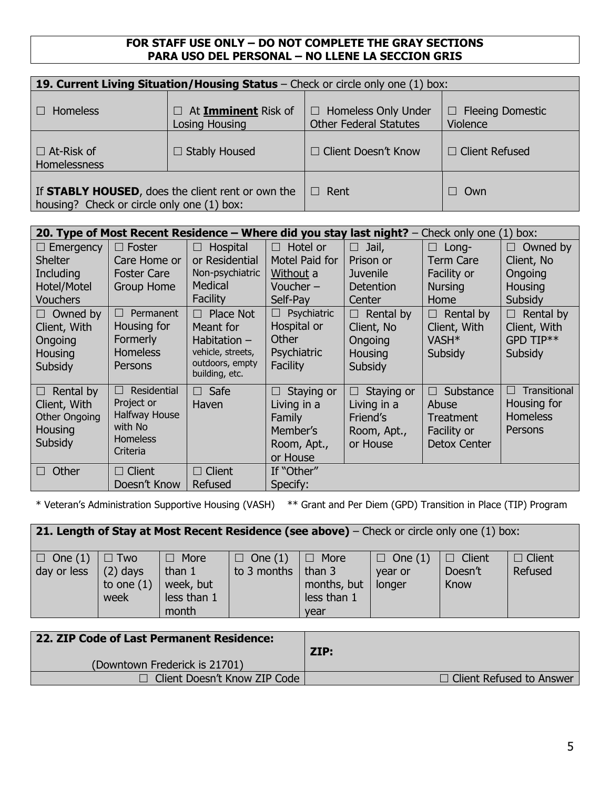## **FOR STAFF USE ONLY – DO NOT COMPLETE THE GRAY SECTIONS PARA USO DEL PERSONAL – NO LLENE LA SECCION GRIS**

| 19. Current Living Situation/Housing Status - Check or circle only one (1) box:                 |                                                     |                                                             |                                     |  |  |
|-------------------------------------------------------------------------------------------------|-----------------------------------------------------|-------------------------------------------------------------|-------------------------------------|--|--|
| <b>Homeless</b>                                                                                 | $\Box$ At <b>Imminent</b> Risk of<br>Losing Housing | <b>Homeless Only Under</b><br><b>Other Federal Statutes</b> | $\Box$ Fleeing Domestic<br>Violence |  |  |
| $\Box$ At-Risk of<br>Homelessness                                                               | $\Box$ Stably Housed                                | $\Box$ Client Doesn't Know                                  | $\Box$ Client Refused               |  |  |
| If STABLY HOUSED, does the client rent or own the<br>housing? Check or circle only one (1) box: |                                                     | Rent                                                        | Own<br>$\Box$                       |  |  |

|                     |                             |                                   | 20. Type of Most Recent Residence – Where did you stay |                 | <b>last night?</b> $-$ Check only one | (1) box:               |
|---------------------|-----------------------------|-----------------------------------|--------------------------------------------------------|-----------------|---------------------------------------|------------------------|
| $\Box$ Emergency    | $\Box$ Foster               | Hospital<br>$\Box$                | Hotel or<br>$\Box$                                     | Jail,<br>$\Box$ | Long-<br>П                            | Owned by<br>$\Box$     |
| <b>Shelter</b>      | Care Home or                | or Residential                    | Motel Paid for                                         | Prison or       | Term Care                             | Client, No             |
| Including           | <b>Foster Care</b>          | Non-psychiatric                   | Without a                                              | <b>Juvenile</b> | Facility or                           | Ongoing                |
| Hotel/Motel         | <b>Group Home</b>           | Medical                           | Voucher $-$                                            | Detention       | <b>Nursing</b>                        | Housing                |
| <b>Vouchers</b>     |                             | Facility                          | Self-Pay                                               | Center          | Home                                  | Subsidy                |
| $\Box$ Owned by     | Permanent<br>$\Box$         | Place Not<br>П                    | Psychiatric                                            | Rental by<br>П  | Rental by<br>П                        | Rental by<br>$\Box$    |
| Client, With        | Housing for                 | Meant for                         | Hospital or                                            | Client, No      | Client, With                          | Client, With           |
| Ongoing             | Formerly                    | Habitation $-$                    | Other                                                  | Ongoing         | VASH <sup>*</sup>                     | GPD TIP**              |
| Housing             | <b>Homeless</b>             | vehicle, streets,                 | Psychiatric                                            | Housing         | Subsidy                               | Subsidy                |
| Subsidy             | Persons                     | outdoors, empty<br>building, etc. | Facility                                               | Subsidy         |                                       |                        |
| Rental by<br>$\Box$ | Residential<br>$\Box$       | $\Box$ Safe                       | Staying or<br>$\vert \ \ \vert$                        | Staying or<br>ш | Substance<br>П                        | Transitional<br>$\Box$ |
| Client, With        | Project or                  | Haven                             | Living in a                                            | Living in a     | Abuse                                 | Housing for            |
| Other Ongoing       | Halfway House               |                                   | Family                                                 | Friend's        | Treatment                             | <b>Homeless</b>        |
| Housing             | with No                     |                                   | Member's                                               | Room, Apt.,     | Facility or                           | Persons                |
| Subsidy             | <b>Homeless</b><br>Criteria |                                   | Room, Apt.,                                            | or House        | <b>Detox Center</b>                   |                        |
|                     |                             |                                   | or House                                               |                 |                                       |                        |
| Other<br>$\Box$     | $\Box$ Client               | $\Box$ Client                     | If "Other"                                             |                 |                                       |                        |
|                     | Doesn't Know                | Refused                           | Specify:                                               |                 |                                       |                        |

\* Veteran's Administration Supportive Housing (VASH) \*\* Grant and Per Diem (GPD) Transition in Place (TIP) Program

| <b>21. Length of Stay at Most Recent Residence (see above)</b> – Check or circle only one (1) box: |                                                  |                                                              |                                       |                                                             |                                     |                                  |                          |
|----------------------------------------------------------------------------------------------------|--------------------------------------------------|--------------------------------------------------------------|---------------------------------------|-------------------------------------------------------------|-------------------------------------|----------------------------------|--------------------------|
| $\Box$ One (1)<br>day or less                                                                      | $\Box$ Two<br>$(2)$ days<br>to one $(1)$<br>week | $\Box$ More<br>than $1$<br>week, but<br>less than 1<br>month | $\Box$ One (1)<br>to 3 months $\vert$ | $\Box$ More<br>than 3<br>months, but<br>less than 1<br>vear | $\Box$ One (1)<br>vear or<br>longer | $\Box$ Client<br>Doesn't<br>Know | $\Box$ Client<br>Refused |

| 22. ZIP Code of Last Permanent Residence: | ZIP:                            |
|-------------------------------------------|---------------------------------|
| (Downtown Frederick is 21701)             |                                 |
| $\Box$ Client Doesn't Know ZIP Code       | $\Box$ Client Refused to Answer |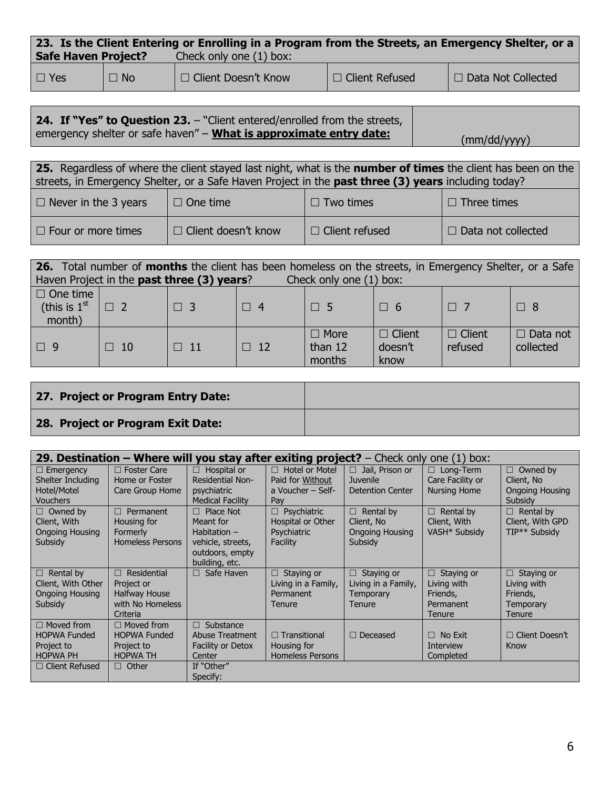| 23. Is the Client Entering or Enrolling in a Program from the Streets, an Emergency Shelter, or a |           |                         |                       |                           |  |  |
|---------------------------------------------------------------------------------------------------|-----------|-------------------------|-----------------------|---------------------------|--|--|
| <b>Safe Haven Project?</b>                                                                        |           | Check only one (1) box: |                       |                           |  |  |
| $\Box$ Yes                                                                                        | $\Box$ No | I □ Client Doesn't Know | $\Box$ Client Refused | $\Box$ Data Not Collected |  |  |

| <b>24. If "Yes" to Question 23.</b> – "Client entered/enrolled from the streets, |              |
|----------------------------------------------------------------------------------|--------------|
| emergency shelter or safe haven" - <b>What is approximate entry date:</b>        | (mm/dd/yyyy) |

| 25. Regardless of where the client stayed last night, what is the <b>number of times</b> the client has been on the |                            |                       |                           |  |  |  |
|---------------------------------------------------------------------------------------------------------------------|----------------------------|-----------------------|---------------------------|--|--|--|
| streets, in Emergency Shelter, or a Safe Haven Project in the past three (3) years including today?                 |                            |                       |                           |  |  |  |
| $\Box$ Never in the 3 years                                                                                         | $\Box$ One time            | $\Box$ Two times      | $\Box$ Three times        |  |  |  |
| $\Box$ Four or more times                                                                                           | $\Box$ Client doesn't know | $\Box$ Client refused | $\Box$ Data not collected |  |  |  |

| <b>26.</b> Total number of <b>months</b> the client has been homeless on the streets, in Emergency Shelter, or a Safe<br>Haven Project in the past three (3) years?<br>Check only one (1) box: |           |           |           |                                  |                                  |                          |                              |
|------------------------------------------------------------------------------------------------------------------------------------------------------------------------------------------------|-----------|-----------|-----------|----------------------------------|----------------------------------|--------------------------|------------------------------|
| $\Box$ One time<br>(this is $1st$<br>month)                                                                                                                                                    | $\Box$ 2  | $\Box$ 3  | $\Box$ 4  | $\Box$ 5                         | $\Box$ 6                         | $\Box$ 7                 | $\Box$ 8                     |
| $\Box$ 9                                                                                                                                                                                       | $\Box$ 10 | $\Box$ 11 | $\Box$ 12 | $\Box$ More<br>than 12<br>months | $\Box$ Client<br>doesn't<br>know | $\Box$ Client<br>refused | $\Box$ Data not<br>collected |

| 27. Project or Program Entry Date: |  |
|------------------------------------|--|
| 28. Project or Program Exit Date:  |  |

|                       |                         |                          | <b>29. Destination – Where will you stay after exiting project?</b> – Check only one (1) box: |                         |                     |                        |
|-----------------------|-------------------------|--------------------------|-----------------------------------------------------------------------------------------------|-------------------------|---------------------|------------------------|
| $\Box$ Emergency      | $\Box$ Foster Care      | Hospital or<br>$\Box$    | <b>Hotel or Motel</b><br>П.                                                                   | $\Box$ Jail, Prison or  | П.<br>Long-Term     | $\Box$ Owned by        |
| Shelter Including     | Home or Foster          | <b>Residential Non-</b>  | Paid for Without                                                                              | <b>Juvenile</b>         | Care Facility or    | Client, No             |
| Hotel/Motel           | Care Group Home         | psychiatric              | a Voucher – Self-                                                                             | <b>Detention Center</b> | <b>Nursing Home</b> | <b>Ongoing Housing</b> |
| <b>Vouchers</b>       |                         | <b>Medical Facility</b>  | Pay                                                                                           |                         |                     | Subsidy                |
| $\Box$ Owned by       | Permanent<br>$\Box$     | Place Not<br>$\Box$      | $\Box$ Psychiatric                                                                            | $\Box$ Rental by        | Rental by<br>$\Box$ | $\Box$ Rental by       |
| Client, With          | Housing for             | Meant for                | Hospital or Other                                                                             | Client, No              | Client, With        | Client, With GPD       |
| Ongoing Housing       | Formerly                | Habitation $-$           | <b>Psychiatric</b>                                                                            | <b>Ongoing Housing</b>  | VASH* Subsidy       | TIP** Subsidy          |
| Subsidy               | <b>Homeless Persons</b> | vehicle, streets,        | Facility                                                                                      | Subsidy                 |                     |                        |
|                       |                         | outdoors, empty          |                                                                                               |                         |                     |                        |
|                       |                         | building, etc.           |                                                                                               |                         |                     |                        |
| $\Box$ Rental by      | $\Box$ Residential      | Safe Haven<br>П          | Staying or<br>П.                                                                              | $\Box$ Staying or       | Staying or<br>П.    | $\Box$ Staying or      |
| Client, With Other    | Project or              |                          | Living in a Family,                                                                           | Living in a Family,     | Living with         | Living with            |
| Ongoing Housing       | <b>Halfway House</b>    |                          | Permanent                                                                                     | Temporary               | Friends,            | Friends,               |
| Subsidy               | with No Homeless        |                          | Tenure                                                                                        | Tenure                  | Permanent           | <b>Temporary</b>       |
|                       | Criteria                |                          |                                                                                               |                         | Tenure              | <b>Tenure</b>          |
| $\Box$ Moved from     | $\Box$ Moved from       | Substance<br>$\Box$      |                                                                                               |                         |                     |                        |
| <b>HOPWA Funded</b>   | <b>HOPWA Funded</b>     | Abuse Treatment          | $\Box$ Transitional                                                                           | $\Box$ Deceased         | No Exit<br>П.       | $\Box$ Client Doesn't  |
| Project to            | Project to              | <b>Facility or Detox</b> | Housing for                                                                                   |                         | Interview           | Know                   |
| <b>HOPWA PH</b>       | <b>HOPWA TH</b>         | Center                   | <b>Homeless Persons</b>                                                                       |                         | Completed           |                        |
| $\Box$ Client Refused | $\Box$ Other            | If "Other"               |                                                                                               |                         |                     |                        |
|                       |                         | Specify:                 |                                                                                               |                         |                     |                        |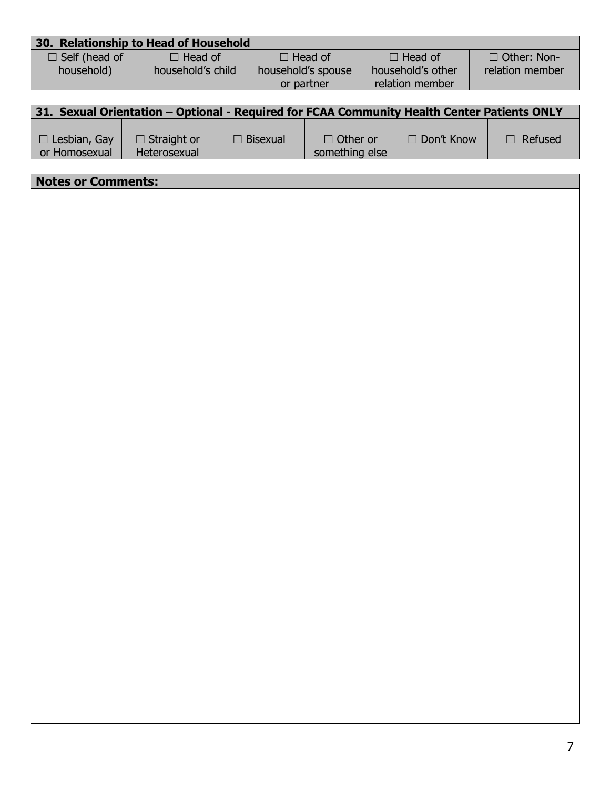|                      | 30. Relationship to Head of Household |                    |                   |                    |
|----------------------|---------------------------------------|--------------------|-------------------|--------------------|
| $\Box$ Self (head of | $\Box$ Head of                        | $\Box$ Head of     | $\Box$ Head of    | $\Box$ Other: Non- |
| household)           | household's child                     | household's spouse | household's other | relation member    |
|                      |                                       | or partner         | relation member   |                    |
|                      |                                       |                    |                   |                    |

|                                      |                                           |                 | 31. Sexual Orientation – Optional - Required for FCAA Community Health Center Patients ONLY |                   |                |
|--------------------------------------|-------------------------------------------|-----------------|---------------------------------------------------------------------------------------------|-------------------|----------------|
| $\Box$ Lesbian, Gay<br>or Homosexual | $\Box$ Straight or<br><b>Heterosexual</b> | $\Box$ Bisexual | $\Box$ Other or<br>something else                                                           | $\Box$ Don't Know | $\Box$ Refused |

| <b>Notes or Comments:</b> |
|---------------------------|
|                           |
|                           |
|                           |
|                           |
|                           |
|                           |
|                           |
|                           |
|                           |
|                           |
|                           |
|                           |
|                           |
|                           |
|                           |
|                           |
|                           |
|                           |
|                           |
|                           |
|                           |
|                           |
|                           |
|                           |
|                           |
|                           |
|                           |
|                           |